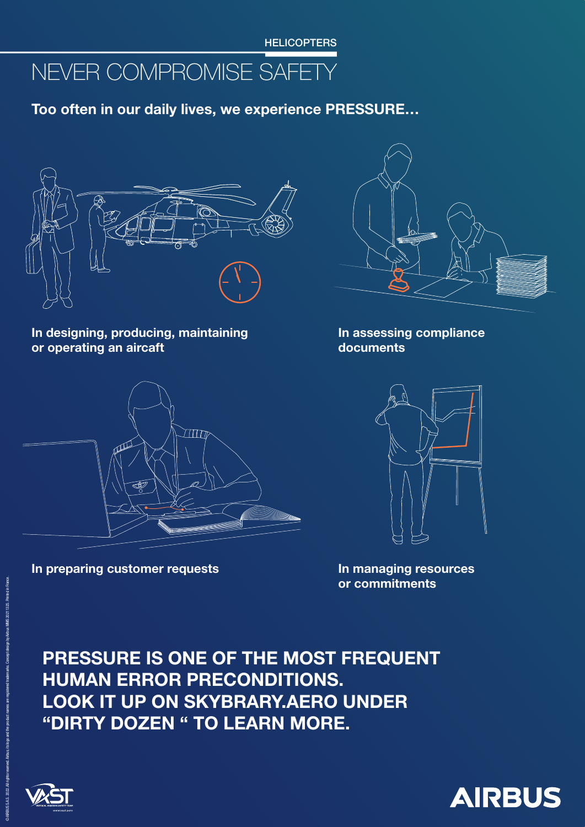In assessing compliance documents



In managing resources or commitments

In designing, producing, maintaining or operating an aircaft



Too often in our daily lives, we experience PRESSURE…



In preparing customer requests



## PRESSURE IS ONE OF THE MOST FREQUENT HUMAN ERROR PRECONDITIONS. LOOK IT UP ON SKYBRARY.AERO UNDER "DIRTY DOZEN " TO LEARN MORE.



© AIRBUS S.A.S. 2022. All rights reserved. Airbus, its logo and the product names are registered trademarks. Concept design by Airbus MMS 20211325. Printed in France.



**HELICOPTERS**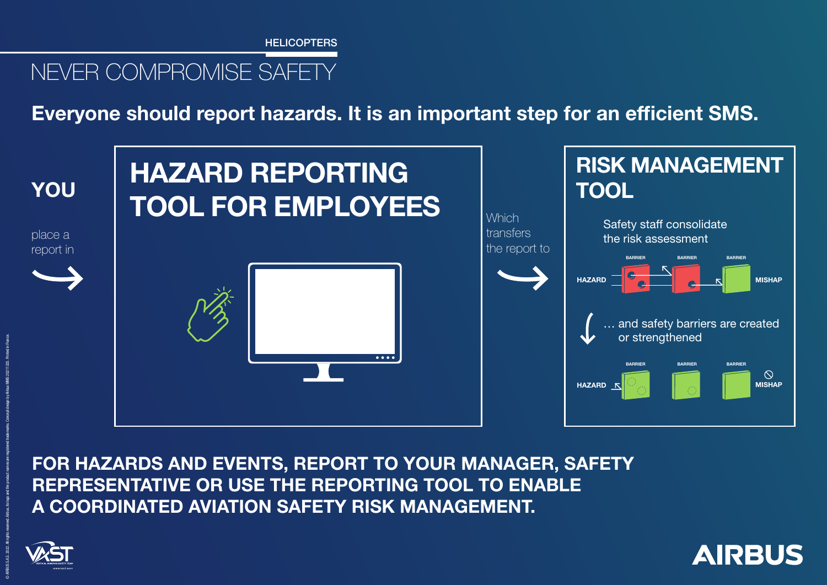FOR HAZARDS AND EVENTS, REPORT TO YOUR MANAGER, SAFETY REPRESENTATIVE OR USE THE REPORTING TOOL TO ENABLE A COORDINATED AVIATION SAFETY RISK MANAGEMENT.







## Everyone should report hazards. It is an important step for an efficient SMS.

**HELICOPTERS**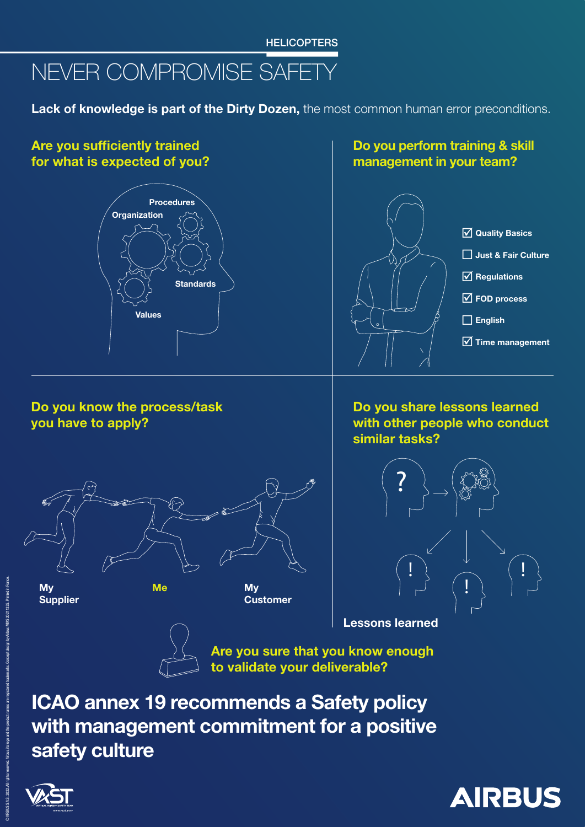ICAO annex 19 recommends a Safety policy with management commitment for a positive safety culture





#### Are you sufficiently trained for what is expected of you?

#### Do you perform training & skill management in your team?

Do you know the process/task you have to apply?

Do you share lessons learned with other people who conduct similar tasks?







Are you sure that you know enough to validate your deliverable?



Lessons learned

## NEVER COMPROMISE SAFETY

Lack of knowledge is part of the Dirty Dozen, the most common human error preconditions.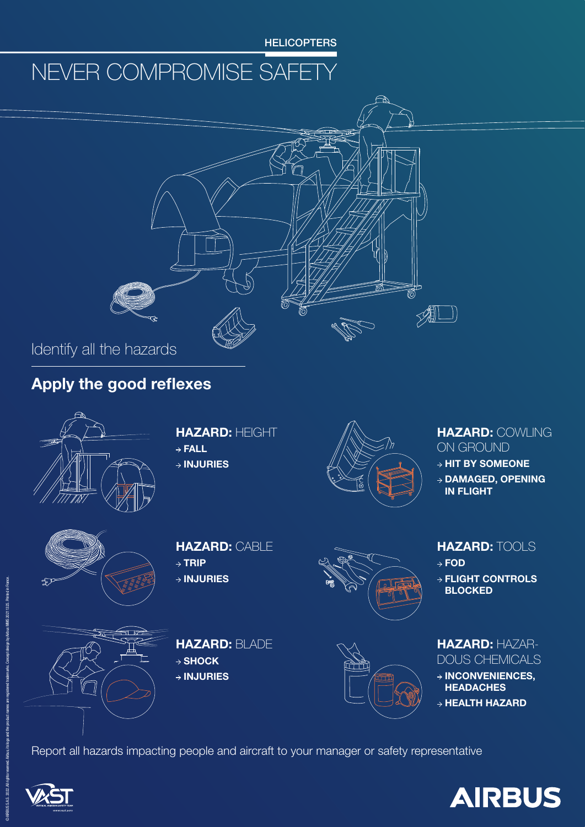#### HAZARD: COWLING ON GROUND

 $\rightarrow$  HIT BY SOMEONE

 $\rightarrow$  DAMAGED, OPENING IN FLIGHT



- $\rightarrow$  FOD
- $\rightarrow$  FLIGHT CONTROLS BLOCKED



#### HAZARD: TOOLS

#### HAZARD: HAZAR-DOUS CHEMICALS

 $\rightarrow$  INCONVENIENCES, **HEADACHES** 

 $\rightarrow$  HEALTH HAZARD

#### HAZARD: HEIGHT

- $\rightarrow$  FALL
- $\rightarrow$  INJURIES



#### HAZARD: CABLE

- $\rightarrow$  TRIP
- $\rightarrow$  INJURIES



HAZARD: BLADE

 $\rightarrow$  SHOCK

 $\rightarrow$  INJURIES



#### Report all hazards impacting people and aircraft to your manager or safety representative





### Apply the good reflexes





**HELICOPTERS**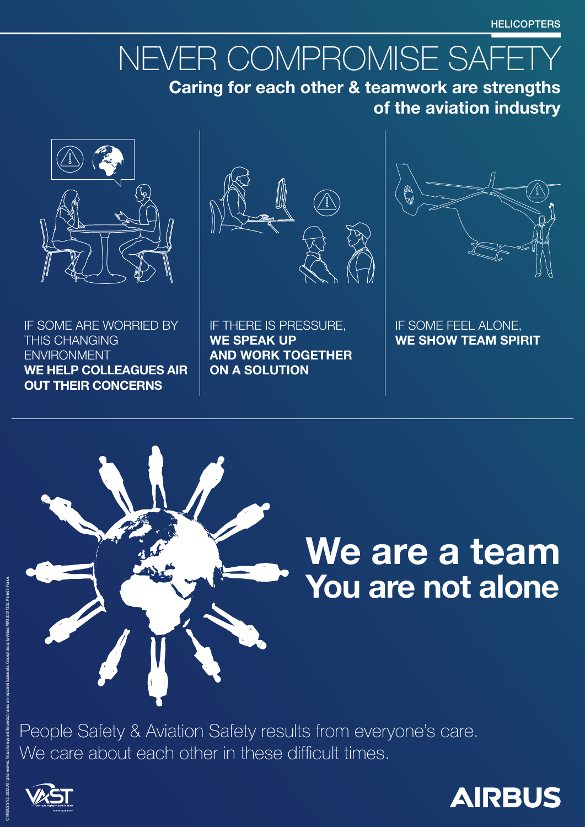IF SOME FEEL ALONE, WE SHOW TEAM SPIRIT



IF THERE IS PRESSURE, WE SPEAK UP AND WORK TOGETHER ON A SOLUTION



IF SOME ARE WORRIED BY THIS CHANGING ENVIRONMENT WE HELP COLLEAGUES AIR OUT THEIR CONCERNS



# We are a team You are not alone

### People Safety & Aviation Safety results from everyone's care. We care about each other in these difficult times.



© AIRBUS S.A.S. 2022. All rights reserved. Airbus, its logo and the product names are registered trademarks. Concept design by Airbus MMS 20211325. Printed in France.



#### **HELICOPTERS**

# NEVER COMPROMISE SAFETY

Caring for each other & teamwork are strengths of the aviation industry